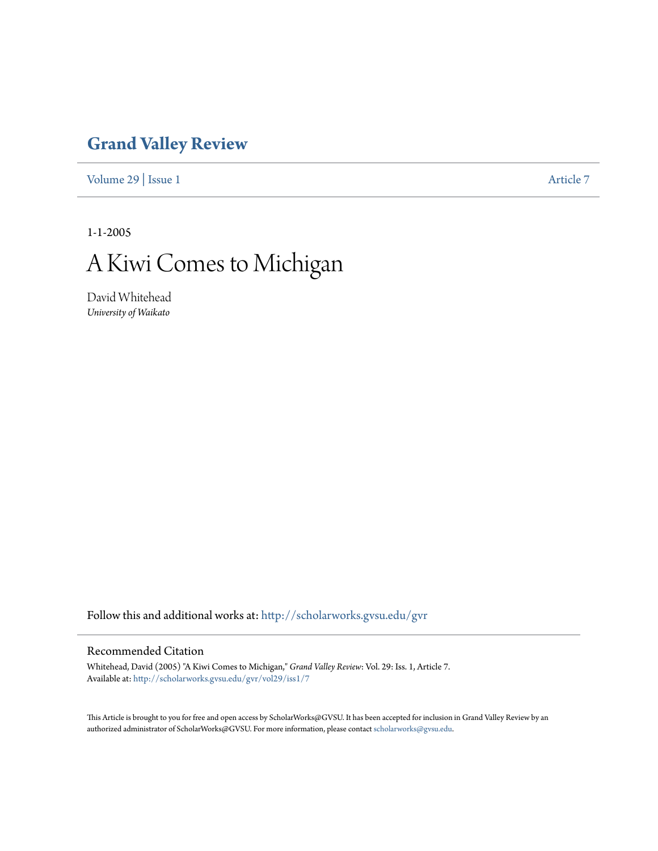## **[Grand Valley Review](http://scholarworks.gvsu.edu/gvr?utm_source=scholarworks.gvsu.edu%2Fgvr%2Fvol29%2Fiss1%2F7&utm_medium=PDF&utm_campaign=PDFCoverPages)**

[Volume 29](http://scholarworks.gvsu.edu/gvr/vol29?utm_source=scholarworks.gvsu.edu%2Fgvr%2Fvol29%2Fiss1%2F7&utm_medium=PDF&utm_campaign=PDFCoverPages) | [Issue 1](http://scholarworks.gvsu.edu/gvr/vol29/iss1?utm_source=scholarworks.gvsu.edu%2Fgvr%2Fvol29%2Fiss1%2F7&utm_medium=PDF&utm_campaign=PDFCoverPages) [Article 7](http://scholarworks.gvsu.edu/gvr/vol29/iss1/7?utm_source=scholarworks.gvsu.edu%2Fgvr%2Fvol29%2Fiss1%2F7&utm_medium=PDF&utm_campaign=PDFCoverPages)

1-1-2005

## A Kiwi Comes to Michigan

David Whitehead *University of Waikato*

Follow this and additional works at: [http://scholarworks.gvsu.edu/gvr](http://scholarworks.gvsu.edu/gvr?utm_source=scholarworks.gvsu.edu%2Fgvr%2Fvol29%2Fiss1%2F7&utm_medium=PDF&utm_campaign=PDFCoverPages)

## Recommended Citation

Whitehead, David (2005) "A Kiwi Comes to Michigan," *Grand Valley Review*: Vol. 29: Iss. 1, Article 7. Available at: [http://scholarworks.gvsu.edu/gvr/vol29/iss1/7](http://scholarworks.gvsu.edu/gvr/vol29/iss1/7?utm_source=scholarworks.gvsu.edu%2Fgvr%2Fvol29%2Fiss1%2F7&utm_medium=PDF&utm_campaign=PDFCoverPages)

This Article is brought to you for free and open access by ScholarWorks@GVSU. It has been accepted for inclusion in Grand Valley Review by an authorized administrator of ScholarWorks@GVSU. For more information, please contact [scholarworks@gvsu.edu.](mailto:scholarworks@gvsu.edu)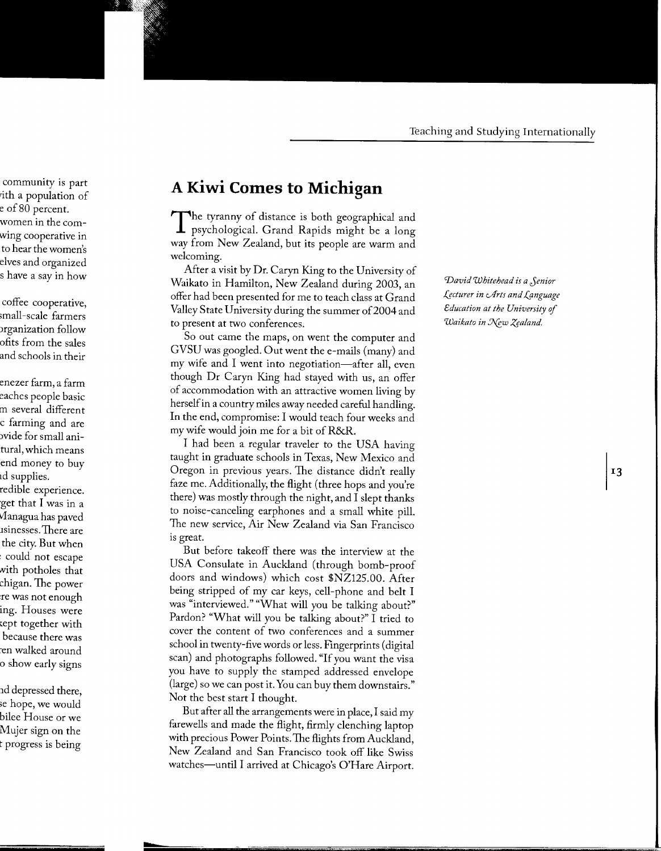## **A Kiwi Comes to Michigan**

The tyranny of distance is both geographical and 1 psychological. Grand Rapids might be a long way from New Zealand, but its people are warm and welcoming.

After a visit by Dr. Caryn King to the University of Waikato in Hamilton, New Zealand during 2003, an offer had been presented for me to teach class at Grand Valley State University during the summer of 2004 and to present at two conferences.

So out came the maps, on went the computer and GVSU was googled. Out went the e-mails (many) and my wife and  $I$  went into negotiation—after all, even though Dr Caryn King had stayed with us, an offer of accommodation with an attractive women living by herself in a country miles away needed careful handling. In the end, compromise: I would teach four weeks and my wife would join me for a bit of R&R.

I had been a regular traveler to the USA having taught in graduate schools in Texas, New Mexico and Oregon in previous years. The distance didn't really faze me. Additionally, the flight (three hops and you're there) was mostly through the night, and I slept thanks to noise-canceling earphones and a small white pill. The new service, Air New Zealand via San Francisco is great.

But before takeoff there was the interview at the USA Consulate in Auckland (through bomb-proof doors and windows) which cost \$NZ125.00. After being stripped of my car keys, cell-phone and belt I was "interviewed." "What will you be talking about?" Pardon? "What will you be talking about?" I tried to cover the content of two conferences and a summer school in twenty-five words or less. Fingerprints (digital scan) and photographs followed. "If you want the visa you have to supply the stamped addressed envelope (large) so we can post it. You can buy them downstairs." Not the best start I thought.

But after all the arrangements were in place, I said my farewells and made the flight, firmly clenching laptop with precious Power Points. The flights from Auckland, New Zealand and San Francisco took off like Swiss watches-until I arrived at Chicago's O'Hare Airport.

*'David Whitehead is a Jenior .{§cturer in c.Arts and f.gnguage education at the University* of *Waikato in New Zealand.*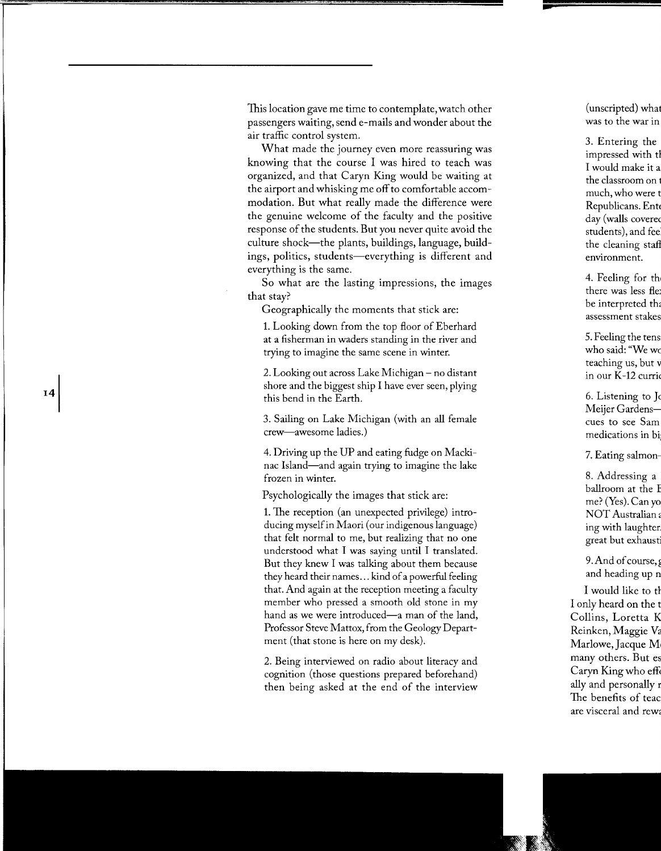This location gave me time to contemplate, watch other passengers waiting, send e-mails and wonder about the air traffic control system.

What made the journey even more reassuring was knowing that the course I was hired to teach was organized, and that Caryn King would be waiting at the airport and whisking me off to comfortable accommodation. But what really made the difference were the genuine welcome of the faculty and the positive response of the students. But you never quite avoid the culture shock-the plants, buildings, language, buildings, politics, students—everything is different and everything is the same.

So what are the lasting impressions, the images that stay?

Geographically the moments that stick are:

1. Looking down from the top floor of Eberhard at a fisherman in waders standing in the river and trying to imagine the same scene in winter.

2. Looking out across Lake Michigan- no distant shore and the biggest ship I have ever seen, plying this bend in the Earth.

3. Sailing on Lake Michigan (with an all female crew-awesome ladies.)

4. Driving up the UP and eating fudge on Mackinac Island—and again trying to imagine the lake frozen in winter.

Psychologically the images that stick are:

1. The reception (an unexpected privilege) introducing myself in Maori (our indigenous language) that felt normal to me, but realizing that no one understood what I was saying until I translated. But they knew I was talking about them because they heard their names ... kind of a powerful feeling that. And again at the reception meeting a faculty member who pressed a smooth old stone in my hand as we were introduced—a man of the land, Professor Steve Mattox, from the Geology Department (that stone is here on my desk).

2. Being interviewed on radio about literacy and cognition (those questions prepared beforehand) then being asked at the end of the interview

14